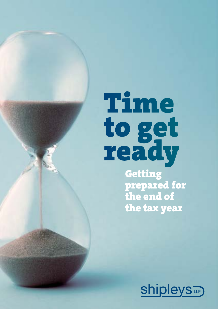# Time to get ready

**Getting** prepared for the end of the tax year

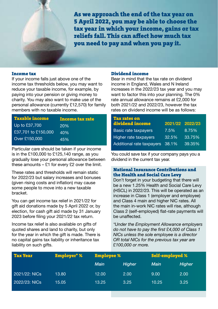As we approach the end of the tax year on 5 April 2022, you may be able to choose the tax year in which your income, gains or tax reliefs fall. This can affect how much tax you need to pay and when you pay it.

#### Income tax

If your income falls just above one of the income tax thresholds below, you may want to reduce your taxable income, for example, by paying into your pension or giving money to charity. You may also want to make use of the personal allowance (currently £12,570) for family members with no taxable income.

| Taxable income      | <b>Income tax rate</b> |
|---------------------|------------------------|
| Up to £37,700       | 20%                    |
| £37,701 to £150,000 | 40%                    |
| Over £150,000       | 45%                    |

Particular care should be taken if your income is in the £100,000 to £125,140 range, as you gradually lose your personal allowance between these amounts  $-$  £1 for every £2 over the limit.

These rates and thresholds will remain static for 2022/23 but salary increases and bonuses (given rising costs and inflation) may cause some people to move into a new taxable bracket.

You can get income tax relief in 2021/22 for gift aid donations made by 5 April 2022 or, by election, for cash gift aid made by 31 January 2023 before filing your 2021/22 tax return.

Income tax relief is also available on gifts of quoted shares and land to charity, but only for the year in which the gift is made. There is no capital gains tax liability or inheritance tax liability on such gifts.

#### Dividend income

Bear in mind that the tax rate on dividend income in England, Wales and N Ireland increases in the 2022/23 tax year and you may want to factor this into your planning. The 0% rate annual allowance remains at £2,000 for both 2021/22 and 2022/23, however the tax rates on dividend income will be as follows:

| <b>Tax rates on</b><br>dividend income | 2021/22 2022/23 |        |
|----------------------------------------|-----------------|--------|
| Basic rate taxpayers                   | 7.5%            | 8.75%  |
| Higher rate taxpayers                  | 32.5%           | 33.75% |
| Additional rate taxpayers              | 38.1%           | 39.35% |

You could save tax if your company pays you a dividend in the current tax year.

#### National Insurance Contributions and the Health and Social Care Levy

Don't forget in your budgeting that there will be a new 1.25% Health and Social Care Levy (HSCL) in 2022/23. This will be operated as an increase in Class 1 (employer and employee) and Class 4 main and higher NIC rates. All the main in-work NIC rates will rise, although Class 2 (self-employed) flat-rate payments will be unaffected.

*\*Under the Employment Allowance employers do not have to pay the first £4,000 of Class 1 NICs unless the sole employee is a director OR total NICs for the previous tax year are £100,000 or more.*

| Tax Year      | <b>Employer*</b> % | <b>Employee</b> % |        | <b>Self-employed %</b> |        |
|---------------|--------------------|-------------------|--------|------------------------|--------|
|               |                    | Main              | Higher | Main                   | Higher |
| 2021/22: NICs | 13.80              | 12.00             | 2.00   | 9.00                   | 2.00   |
| 2022/23: NICs | 15.05              | 13.25             | 3.25   | 10.25                  | 3.25   |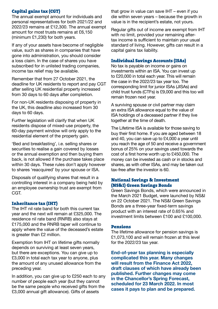#### Capital gains tax (CGT)

The annual exempt amount for individuals and personal representatives for both 2021/22 and 2022/23 remains at £12,300. The annual exempt amount for most trusts remains at £6,150 (minimum £1,230) for both years.

If any of your assets have become of negligible value, such as shares in companies that have gone into administration, you should consider a loss claim. In the case of shares you have subscribed for in unlisted trading companies, income tax relief may be available.

Remember that from 27 October 2021, the deadline for UK residents to report and pay CGT after selling UK residential property increased from 30 days to 60 days after completion.

For non-UK residents disposing of property in the UK, this deadline also increased from 30 days to 60 days.

Further legislation will clarify that when UK residents dispose of mixed-use property, the 60-day payment window will only apply to the residential element of the property gain.

'Bed and breakfasting', i.e. selling shares or securities to realise a gain covered by losses or the annual exemption and then buying them back, is not allowed if the purchase takes place within 30 days. These rules don't apply however to shares 'reacquired' by your spouse or ISA.

Disposals of qualifying shares that result in a controlling interest in a company being held by an employee ownership trust are exempt from CGT.

#### Inheritance tax (IHT)

The IHT nil rate band for both this current tax year and the next will remain at £325,000. The residence nil rate band (RNRB) also stays at £175,000 and the RNRB taper will continue to apply where the value of the deceased's estate is greater than £2 million.

Exemption from IHT on lifetime gifts normally depends on surviving at least seven years, but there are exceptions. You can give up to £3,000 in total each tax year to anyone, plus the amount of any unused allowance from the preceding year.

In addition, you can give up to £250 each to any number of people each year (but they cannot be the same people who received gifts from the £3,000 annual gift allowance). Gifts of assets

that grow in value can save IHT – even if you die within seven years – because the growth in value is in the recipient's estate, not yours.

Regular gifts out of income are exempt from IHT with no limit, provided your remaining aftertax income is sufficient to maintain your usual standard of living. However, gifts can result in a capital gains tax liability.

#### Individual Savings Accounts (ISAs)

No tax is payable on income or gains on investments within an ISA. You can invest up to £20,000 in total each year. This will remain the case in the 2022/23 tax year too. The corresponding limit for junior ISAs (JISAs) and child trust funds (CTFs) is £9,000 and this too will remain frozen next year.

A surviving spouse or civil partner may claim an extra ISA allowance equal to the value of ISA holdings of a deceased partner if they live together at the time of death.

The Lifetime ISA is available for those saving to buy their first home. If you are aged between 18 and 40, you can save up to £4,000 a year until you reach the age of 50 and receive a government bonus of 25% on your savings used towards the cost of a first home worth up to £450,000. The money can be invested as cash or in stocks and shares, as with other ISAs, and may be taken out tax-free after the investor is 60.

#### National Savings & Investment (NS&I) Green Savings Bonds

Green Savings Bonds, which were announced in the March 2021 Budget, were launched by NS&I on 22 October 2021. The NS&I Green Savings Bonds are a three-year fixed-term savings product with an interest rate of 0.65% and investment limits between £100 and £100,000.

#### Pensions

The lifetime allowance for pension savings is £1,073,100 and will remain frozen at this level for the 2022/23 tax year.

**End-of-year tax planning is especially complicated this year. Many changes will result from the Finance Act 2022, draft clauses of which have already been published. Further changes may come in the Chancellor's Spring Forecast, scheduled for 23 March 2022. In most cases it pays to plan and be prepared.**